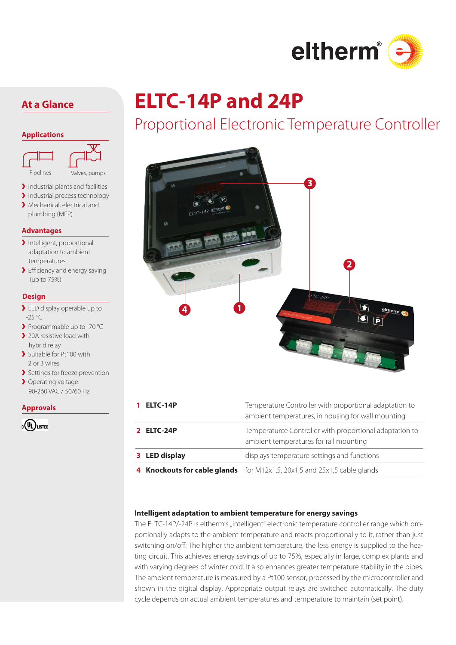

#### **Applications**



Industrial plants and facilities

- Industrial process technology
- > Mechanical, electrical and plumbing (MEP)

### **Advantages**

- Intelligent, proportional adaptation to ambient temperatures
- > Efficiency and energy saving (up to 75%)

### **Design**

- > LED display operable up to  $-25$  °C
- Programmable up to -70 °C
- > 20A resistive load with hybrid relay
- > Suitable for Pt100 with 2 or 3 wires
- > Settings for freeze prevention
- > Operating voltage: 90-260 VAC / 50/60 Hz

### **Approvals**



# **At a Glance ELTC-14P and 24P**

## Proportional Electronic Temperature Controller



| 1 ELTC-14P           | Temperature Controller with proportional adaptation to<br>ambient temperatures, in housing for wall mounting |
|----------------------|--------------------------------------------------------------------------------------------------------------|
| 2 ELTC-24P           | Temperaturce Controller with proportional adaptation to<br>ambient temperatures for rail mounting            |
| <b>3</b> LED display | displays temperature settings and functions                                                                  |
|                      | 4 <b>Knockouts for cable glands</b> for M12x1,5, 20x1,5 and 25x1,5 cable glands                              |
|                      |                                                                                                              |

### **Intelligent adaptation to ambient temperature for energy savings**

The ELTC-14P/-24P is eltherm's "intelligent" electronic temperature controller range which proportionally adapts to the ambient temperature and reacts proportionally to it, rather than just switching on/off: The higher the ambient temperature, the less energy is supplied to the heating circuit. This achieves energy savings of up to 75%, especially in large, complex plants and with varying degrees of winter cold. It also enhances greater temperature stability in the pipes. The ambient temperature is measured by a Pt100 sensor, processed by the microcontroller and shown in the digital display. Appropriate output relays are switched automatically. The duty cycle depends on actual ambient temperatures and temperature to maintain (set point).